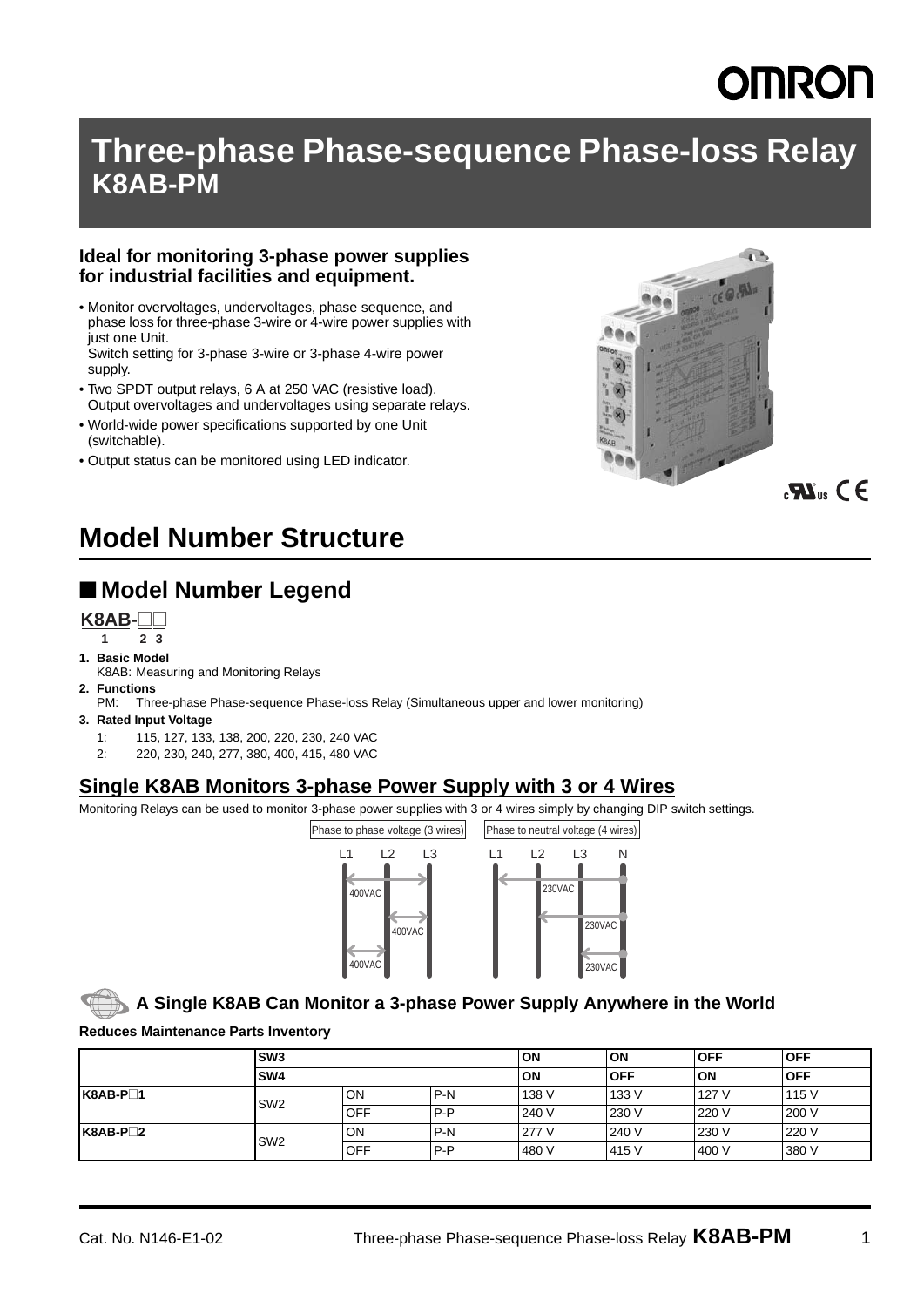# **IMRON**

## **Three-phase Phase-sequence Phase-loss Relay K8AB-PM**

### **Ideal for monitoring 3-phase power supplies for industrial facilities and equipment.**

- Monitor overvoltages, undervoltages, phase sequence, and phase loss for three-phase 3-wire or 4-wire power supplies with just one Unit. Switch setting for 3-phase 3-wire or 3-phase 4-wire power supply.
- Two SPDT output relays, 6 A at 250 VAC (resistive load). Output overvoltages and undervoltages using separate relays.
- World-wide power specifications supported by one Unit (switchable).
- Output status can be monitored using LED indicator.



## **Model Number Structure**

## ■ **Model Number Legend**

### **K8AB-**□□

- **1 23**
- **1. Basic Model**
- K8AB: Measuring and Monitoring Relays
- **2. Functions**
	- Three-phase Phase-sequence Phase-loss Relay (Simultaneous upper and lower monitoring)
- **3. Rated Input Voltage**
	- 1: 115, 127, 133, 138, 200, 220, 230, 240 VAC
	- 2: 220, 230, 240, 277, 380, 400, 415, 480 VAC

### **Single K8AB Monitors 3-phase Power Supply with 3 or 4 Wires**

Monitoring Relays can be used to monitor 3-phase power supplies with 3 or 4 wires simply by changing DIP switch settings.



### **A Single K8AB Can Monitor a 3-phase Power Supply Anywhere in the World**

### **Reduces Maintenance Parts Inventory**

|           | <b>SW3</b>      |            |       | ON    | ON         | <b>OFF</b> | <b>OFF</b> |
|-----------|-----------------|------------|-------|-------|------------|------------|------------|
|           | <b>SW4</b>      |            |       | ON    | <b>OFF</b> | <b>ON</b>  | <b>OFF</b> |
| $K8AB-P1$ | SW <sub>2</sub> | ON         | P-N   | 138 V | 133 V      | 127 V      | 115 V      |
|           |                 | OFF        | $P-P$ | 240 V | 230 V      | 220 V      | 200 V      |
| $K8AB-P2$ | SW <sub>2</sub> | ON         | P-N   | 277 V | 240 V      | 230 V      | 220 V      |
|           |                 | <b>OFF</b> | $P-P$ | 480 V | 415 V      | 400 V      | 380 V      |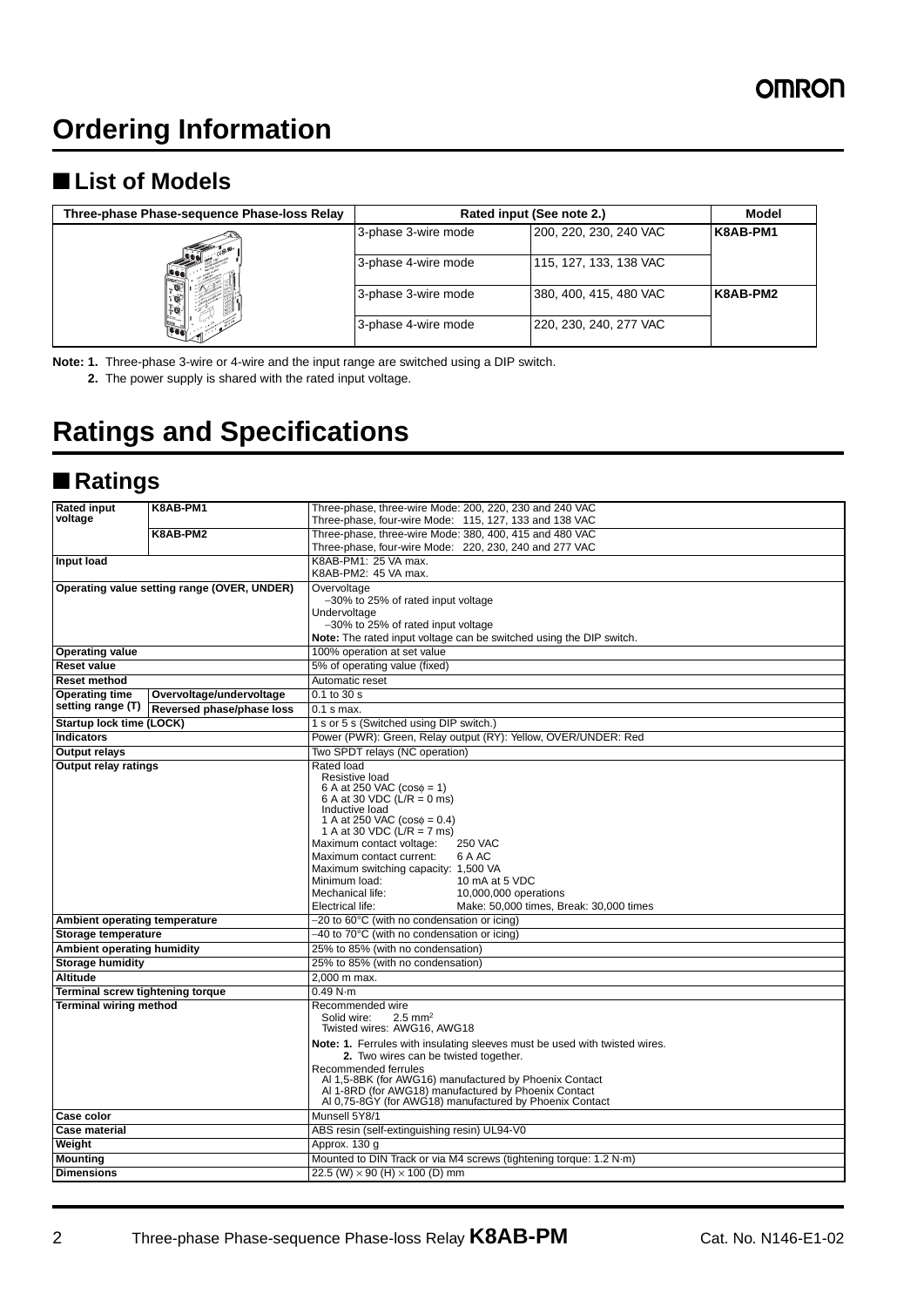## **Ordering Information**

### ■ List of Models

| Three-phase Phase-sequence Phase-loss Relay |                     | Rated input (See note 2.) | <b>Model</b> |
|---------------------------------------------|---------------------|---------------------------|--------------|
|                                             | 3-phase 3-wire mode | 200, 220, 230, 240 VAC    | K8AB-PM1     |
|                                             | 3-phase 4-wire mode | 115, 127, 133, 138 VAC    |              |
| $\frac{1}{\sigma}$<br><b>16.</b>            | 3-phase 3-wire mode | 380, 400, 415, 480 VAC    | K8AB-PM2     |
|                                             | 3-phase 4-wire mode | 220, 230, 240, 277 VAC    |              |

**Note: 1.** Three-phase 3-wire or 4-wire and the input range are switched using a DIP switch.

**2.** The power supply is shared with the rated input voltage.

## **Ratings and Specifications**

## ■ **Ratings**

| <b>Rated input</b><br>voltage    | K8AB-PM1                                    | Three-phase, three-wire Mode: 200, 220, 230 and 240 VAC                        |
|----------------------------------|---------------------------------------------|--------------------------------------------------------------------------------|
|                                  |                                             | Three-phase, four-wire Mode: 115, 127, 133 and 138 VAC                         |
|                                  | K8AB-PM2                                    | Three-phase, three-wire Mode: 380, 400, 415 and 480 VAC                        |
|                                  |                                             | Three-phase, four-wire Mode: 220, 230, 240 and 277 VAC                         |
| Input load                       |                                             | K8AB-PM1: 25 VA max.<br>K8AB-PM2: 45 VA max.                                   |
|                                  | Operating value setting range (OVER, UNDER) | Overvoltage                                                                    |
|                                  |                                             | -30% to 25% of rated input voltage                                             |
|                                  |                                             | Undervoltage                                                                   |
|                                  |                                             | -30% to 25% of rated input voltage                                             |
|                                  |                                             | Note: The rated input voltage can be switched using the DIP switch.            |
| <b>Operating value</b>           |                                             | 100% operation at set value                                                    |
| <b>Reset value</b>               |                                             | 5% of operating value (fixed)                                                  |
| <b>Reset method</b>              |                                             | Automatic reset                                                                |
| <b>Operating time</b>            | Overvoltage/undervoltage                    | 0.1 to 30 s                                                                    |
| setting range (T)                | Reversed phase/phase loss                   | $0.1$ s max.                                                                   |
| Startup lock time (LOCK)         |                                             | 1 s or 5 s (Switched using DIP switch.)                                        |
| <b>Indicators</b>                |                                             | Power (PWR): Green, Relay output (RY): Yellow, OVER/UNDER: Red                 |
| <b>Output relays</b>             |                                             | Two SPDT relays (NC operation)                                                 |
| Output relay ratings             |                                             | Rated load                                                                     |
|                                  |                                             | Resistive load                                                                 |
|                                  |                                             | 6 A at 250 VAC $(cos \phi = 1)$                                                |
|                                  |                                             | 6 A at 30 VDC (L/R = 0 ms)<br>Inductive load                                   |
|                                  |                                             | 1 A at 250 VAC $(cos\phi = 0.4)$                                               |
|                                  |                                             | 1 A at 30 VDC (L/R = 7 ms)                                                     |
|                                  |                                             | Maximum contact voltage:<br><b>250 VAC</b>                                     |
|                                  |                                             | Maximum contact current:<br>6 A AC                                             |
|                                  |                                             | Maximum switching capacity: 1,500 VA                                           |
|                                  |                                             | Minimum load:<br>10 mA at 5 VDC                                                |
|                                  |                                             | Mechanical life:<br>10,000,000 operations                                      |
|                                  |                                             | Electrical life:<br>Make: 50,000 times, Break: 30,000 times                    |
| Ambient operating temperature    |                                             | -20 to 60°C (with no condensation or icing)                                    |
| Storage temperature              |                                             | -40 to 70°C (with no condensation or icing)                                    |
| Ambient operating humidity       |                                             | 25% to 85% (with no condensation)                                              |
| <b>Storage humidity</b>          |                                             | 25% to 85% (with no condensation)                                              |
| <b>Altitude</b>                  |                                             | 2,000 m max.                                                                   |
| Terminal screw tightening torque |                                             | 0.49 N·m                                                                       |
| <b>Terminal wiring method</b>    |                                             | Recommended wire                                                               |
|                                  |                                             | $2.5$ mm <sup>2</sup><br>Solid wire:                                           |
|                                  |                                             | Twisted wires: AWG16, AWG18                                                    |
|                                  |                                             | Note: 1. Ferrules with insulating sleeves must be used with twisted wires.     |
|                                  |                                             | 2. Two wires can be twisted together.                                          |
|                                  |                                             | Recommended ferrules<br>Al 1,5-8BK (for AWG16) manufactured by Phoenix Contact |
|                                  |                                             | Al 1-8RD (for AWG18) manufactured by Phoenix Contact                           |
|                                  |                                             | AI 0.75-8GY (for AWG18) manufactured by Phoenix Contact                        |
| <b>Case color</b>                |                                             | Munsell 5Y8/1                                                                  |
| <b>Case material</b>             |                                             | ABS resin (self-extinguishing resin) UL94-V0                                   |
| Weight                           |                                             | Approx. 130 q                                                                  |
| <b>Mounting</b>                  |                                             | Mounted to DIN Track or via M4 screws (tightening torque: 1.2 N·m)             |
| <b>Dimensions</b>                |                                             | 22.5 (W) $\times$ 90 (H) $\times$ 100 (D) mm                                   |
|                                  |                                             |                                                                                |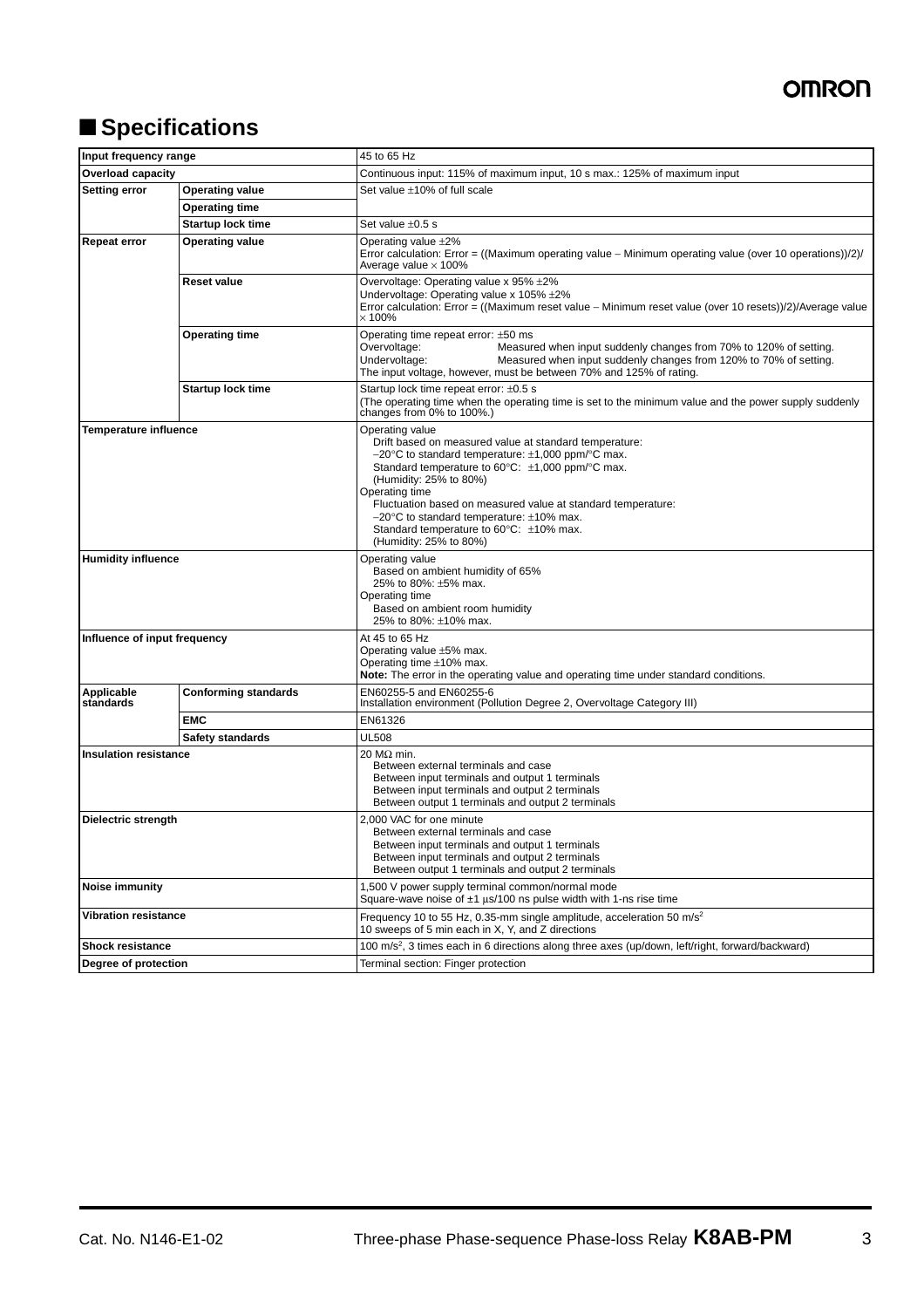## ■ **Specifications**

| Input frequency range                                        |                             | 45 to 65 Hz                                                                                                                                                                                                                                                                                                                                                                                                                                                                 |  |  |
|--------------------------------------------------------------|-----------------------------|-----------------------------------------------------------------------------------------------------------------------------------------------------------------------------------------------------------------------------------------------------------------------------------------------------------------------------------------------------------------------------------------------------------------------------------------------------------------------------|--|--|
| <b>Overload capacity</b>                                     |                             | Continuous input: 115% of maximum input, 10 s max.: 125% of maximum input                                                                                                                                                                                                                                                                                                                                                                                                   |  |  |
| <b>Setting error</b>                                         | <b>Operating value</b>      | Set value ±10% of full scale                                                                                                                                                                                                                                                                                                                                                                                                                                                |  |  |
|                                                              | Operating time              |                                                                                                                                                                                                                                                                                                                                                                                                                                                                             |  |  |
|                                                              | Startup lock time           | Set value $\pm 0.5$ s                                                                                                                                                                                                                                                                                                                                                                                                                                                       |  |  |
| <b>Repeat error</b><br><b>Operating value</b><br>Reset value |                             | Operating value ±2%<br>Error calculation: Error = ((Maximum operating value – Minimum operating value (over 10 operations))/2)/<br>Average value $\times$ 100%                                                                                                                                                                                                                                                                                                              |  |  |
|                                                              |                             | Overvoltage: Operating value x 95% ±2%<br>Undervoltage: Operating value x $105\%$ $\pm 2\%$<br>Error calculation: Error = ((Maximum reset value - Minimum reset value (over 10 resets))/2)/Average value<br>$\times$ 100%                                                                                                                                                                                                                                                   |  |  |
|                                                              | <b>Operating time</b>       | Operating time repeat error: ±50 ms<br>Overvoltage:<br>Measured when input suddenly changes from 70% to 120% of setting.<br>Measured when input suddenly changes from 120% to 70% of setting.<br>Undervoltage:<br>The input voltage, however, must be between 70% and 125% of rating.                                                                                                                                                                                       |  |  |
|                                                              | <b>Startup lock time</b>    | Startup lock time repeat error: ±0.5 s<br>(The operating time when the operating time is set to the minimum value and the power supply suddenly<br>changes from 0% to 100%.)                                                                                                                                                                                                                                                                                                |  |  |
| Temperature influence                                        |                             | Operating value<br>Drift based on measured value at standard temperature:<br>$-20^{\circ}$ C to standard temperature: $\pm$ 1,000 ppm/ $\circ$ C max.<br>Standard temperature to 60 $^{\circ}$ C: ±1,000 ppm/ $^{\circ}$ C max.<br>(Humidity: 25% to 80%)<br>Operating time<br>Fluctuation based on measured value at standard temperature:<br>$-20^{\circ}$ C to standard temperature: $\pm$ 10% max.<br>Standard temperature to 60°C: ±10% max.<br>(Humidity: 25% to 80%) |  |  |
| <b>Humidity influence</b>                                    |                             | Operating value<br>Based on ambient humidity of 65%<br>25% to 80%: ±5% max.<br>Operating time<br>Based on ambient room humidity<br>25% to 80%: ±10% max.                                                                                                                                                                                                                                                                                                                    |  |  |
| Influence of input frequency                                 |                             | At 45 to 65 Hz<br>Operating value ±5% max.<br>Operating time ±10% max.<br>Note: The error in the operating value and operating time under standard conditions.                                                                                                                                                                                                                                                                                                              |  |  |
| Applicable<br>standards                                      | <b>Conforming standards</b> | EN60255-5 and EN60255-6<br>Installation environment (Pollution Degree 2, Overvoltage Category III)                                                                                                                                                                                                                                                                                                                                                                          |  |  |
|                                                              | EMC                         | EN61326                                                                                                                                                                                                                                                                                                                                                                                                                                                                     |  |  |
|                                                              | <b>Safety standards</b>     | <b>UL508</b>                                                                                                                                                                                                                                                                                                                                                                                                                                                                |  |  |
| <b>Insulation resistance</b>                                 |                             | $20 \text{ M}\Omega$ min.<br>Between external terminals and case<br>Between input terminals and output 1 terminals<br>Between input terminals and output 2 terminals<br>Between output 1 terminals and output 2 terminals                                                                                                                                                                                                                                                   |  |  |
| Dielectric strength                                          |                             | 2,000 VAC for one minute<br>Between external terminals and case<br>Between input terminals and output 1 terminals<br>Between input terminals and output 2 terminals<br>Between output 1 terminals and output 2 terminals                                                                                                                                                                                                                                                    |  |  |
| Noise immunity                                               |                             | 1,500 V power supply terminal common/normal mode<br>Square-wave noise of $\pm 1$ $\mu$ s/100 ns pulse width with 1-ns rise time                                                                                                                                                                                                                                                                                                                                             |  |  |
| Vibration resistance                                         |                             | Frequency 10 to 55 Hz, 0.35-mm single amplitude, acceleration 50 m/s <sup>2</sup><br>10 sweeps of 5 min each in X, Y, and Z directions                                                                                                                                                                                                                                                                                                                                      |  |  |
| <b>Shock resistance</b>                                      |                             | 100 m/s <sup>2</sup> , 3 times each in 6 directions along three axes (up/down, left/right, forward/backward)                                                                                                                                                                                                                                                                                                                                                                |  |  |
| Degree of protection                                         |                             | Terminal section: Finger protection                                                                                                                                                                                                                                                                                                                                                                                                                                         |  |  |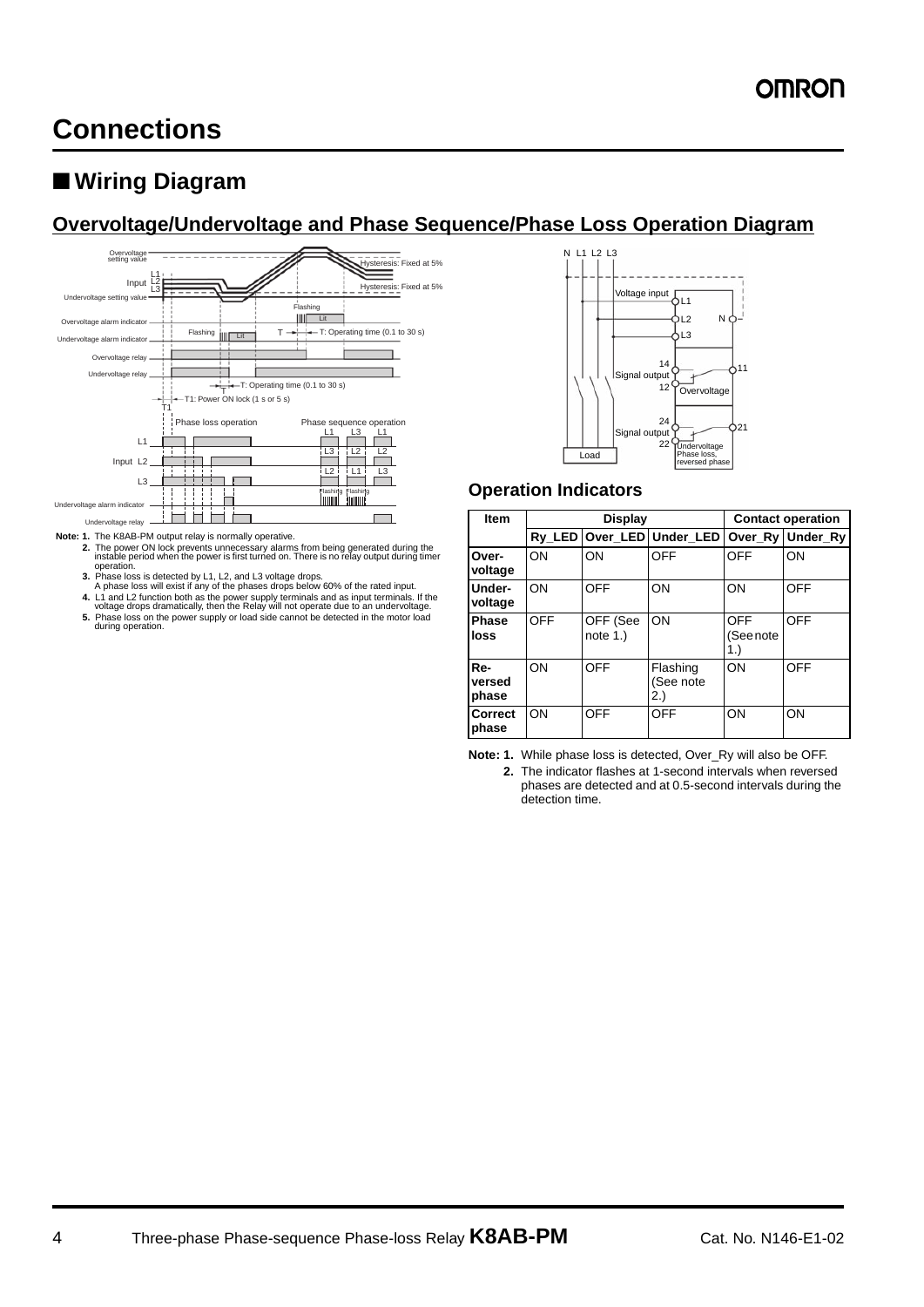## **Connections**

## ■ **Wiring Diagram**

### **Overvoltage/Undervoltage and Phase Sequence/Phase Loss Operation Diagram**



- Note: 1. The K8AB-PM output relay is normally operative.<br>2. The power ON lock prevents unnecessary alarms from being generated during the<br>instable period when the power is first turned on. There is no relay output during t operation.
	-
	-
	- 3. Phase loss is detected by L1, L2, and L3 voltage drops.<br>A phase loss will exist if any of the phases drops below 60% of the rated input.<br>A L1 and L2 function both as the power supply terminals and as input terminals. If during operation.



### **Operation Indicators**

| <b>Item</b>             | <b>Display</b> |                         |                              | <b>Contact operation</b> |                  |  |
|-------------------------|----------------|-------------------------|------------------------------|--------------------------|------------------|--|
|                         |                |                         | Ry LED Over LED Under LED    |                          | Over_Ry Under_Ry |  |
| Over-<br>voltage        | ON             | ON                      | OFF                          | <b>OFF</b>               | ON               |  |
| Under-<br>voltage       | ON             | OFF                     | ON                           | ON                       | <b>OFF</b>       |  |
| <b>IPhase</b><br>lloss  | OFF            | OFF (See<br>note $1.$ ) | ON                           | OFF<br>(See note<br>1.)  | <b>OFF</b>       |  |
| Re-<br>versed<br>phase  | ON             | OFF                     | Flashing<br>(See note<br>2.) | ON                       | OFF              |  |
| <b>Correct</b><br>phase | ON             | OFF                     | OFF                          | ON                       | ON               |  |

**Note: 1.** While phase loss is detected, Over\_Ry will also be OFF.

**2.** The indicator flashes at 1-second intervals when reversed phases are detected and at 0.5-second intervals during the detection time.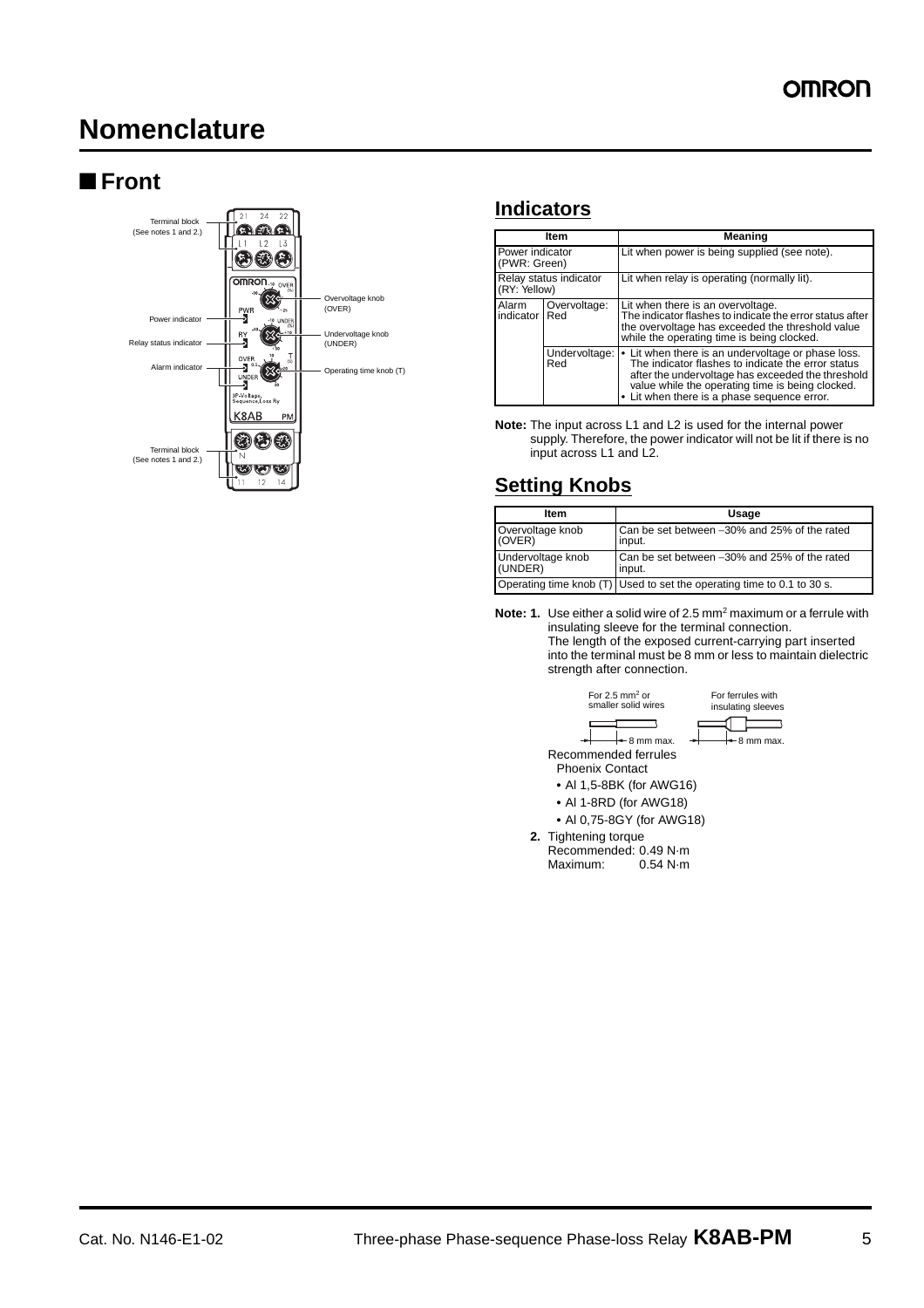## **Nomenclature**

### ■ **Front**



### **Indicators**

| Item                                   |                      | Meaning                                                                                                                                                                                                                                                          |
|----------------------------------------|----------------------|------------------------------------------------------------------------------------------------------------------------------------------------------------------------------------------------------------------------------------------------------------------|
| Power indicator<br>(PWR: Green)        |                      | Lit when power is being supplied (see note).                                                                                                                                                                                                                     |
| Relay status indicator<br>(RY: Yellow) |                      | Lit when relay is operating (normally lit).                                                                                                                                                                                                                      |
| Alarm<br>indicator Red                 | Overvoltage:         | Lit when there is an overvoltage.<br>The indicator flashes to indicate the error status after<br>the overvoltage has exceeded the threshold value<br>while the operating time is being clocked.                                                                  |
|                                        | Undervoltage:<br>Red | • Lit when there is an undervoltage or phase loss.<br>The indicator flashes to indicate the error status<br>after the undervoltage has exceeded the threshold<br>value while the operating time is being clocked.<br>• Lit when there is a phase sequence error. |

**Note:** The input across L1 and L2 is used for the internal power supply. Therefore, the power indicator will not be lit if there is no input across L1 and L2.

### **Setting Knobs**

| Item              | Usage                                                                  |
|-------------------|------------------------------------------------------------------------|
| Overvoltage knob  | Can be set between -30% and 25% of the rated                           |
| (OVER)            | input.                                                                 |
| Undervoltage knob | Can be set between -30% and 25% of the rated                           |
| (UNDER)           | input.                                                                 |
|                   | Operating time knob (T) Used to set the operating time to 0.1 to 30 s. |

**Note: 1.** Use either a solid wire of 2.5 mm2 maximum or a ferrule with insulating sleeve for the terminal connection. The length of the exposed current-carrying part inserted into the terminal must be 8 mm or less to maintain dielectric strength after connection.

٦



- **•** Al 1,5-8BK (for AWG16)
- **•** Al 1-8RD (for AWG18)
- **•** Al 0,75-8GY (for AWG18)
- **2.** Tightening torque

Recommended: 0.49 N·m<br>Maximum: 0.54 N·m Maximum: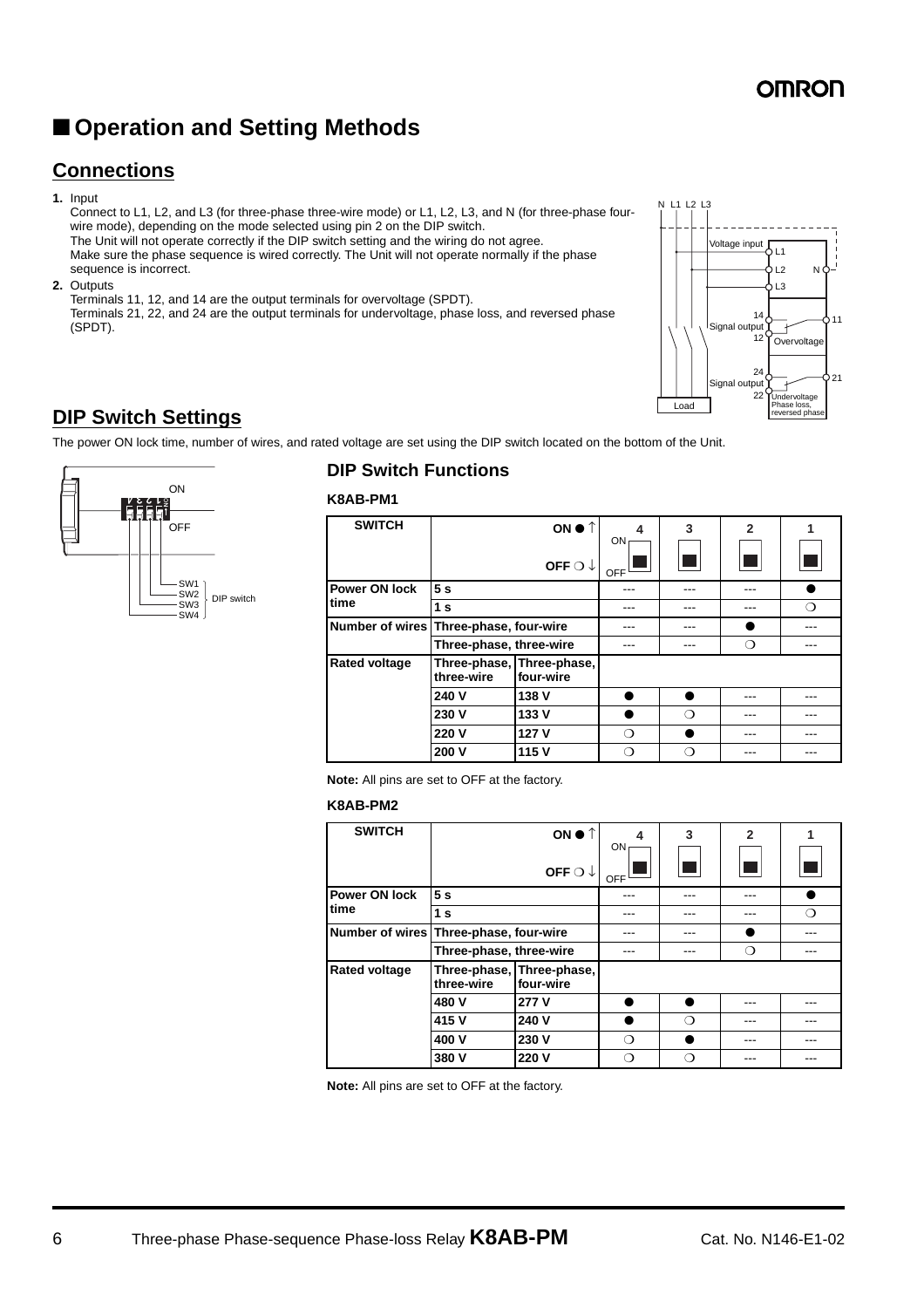## ■ Operation and Setting Methods

### **Connections**

**1.** Input

Connect to L1, L2, and L3 (for three-phase three-wire mode) or L1, L2, L3, and N (for three-phase fourwire mode), depending on the mode selected using pin 2 on the DIP switch. The Unit will not operate correctly if the DIP switch setting and the wiring do not agree.

Make sure the phase sequence is wired correctly. The Unit will not operate normally if the phase sequence is incorrect.

**2.** Outputs

Terminals 11, 12, and 14 are the output terminals for overvoltage (SPDT).

Terminals 21, 22, and 24 are the output terminals for undervoltage, phase loss, and reversed phase (SPDT).



### **DIP Switch Settings**

The power ON lock time, number of wires, and rated voltage are set using the DIP switch located on the bottom of the Unit.



### **DIP Switch Functions**

### **K8AB-PM1**

| <b>SWITCH</b>        | ON $\bullet$ 1                                       |                           | 4<br>ON | 3                      | $\overline{2}$ | 1   |
|----------------------|------------------------------------------------------|---------------------------|---------|------------------------|----------------|-----|
|                      |                                                      | OFF $\bigcirc \downarrow$ | OFF     | <b>Service Service</b> |                |     |
| Power ON lock        | 5s                                                   |                           |         |                        |                |     |
| time                 | 1 <sub>s</sub>                                       |                           |         |                        |                | ∩   |
|                      | Number of wires Three-phase, four-wire               |                           |         |                        |                |     |
|                      | Three-phase, three-wire                              |                           |         |                        |                |     |
| <b>Rated voltage</b> | Three-phase, Three-phase,<br>three-wire<br>four-wire |                           |         |                        |                |     |
|                      | 240 V                                                | 138 V                     |         |                        |                |     |
|                      | 230 V                                                | 133 V                     |         | ∩                      |                |     |
|                      | 220 V                                                | 127 V                     |         |                        |                | --- |
|                      | 200 V                                                | 115 V                     |         | ∩                      |                |     |

**Note:** All pins are set to OFF at the factory.

### **K8AB-PM2**

| <b>SWITCH</b>        | ON ● ↑                                 |                                        | 4<br>ON | 3   | $\overline{2}$ |   |
|----------------------|----------------------------------------|----------------------------------------|---------|-----|----------------|---|
|                      |                                        | OFF $\bigcirc \downarrow$              | OFF     |     |                |   |
| <b>Power ON lock</b> | 5s                                     |                                        |         |     |                |   |
| time                 | 1 <sub>s</sub>                         |                                        |         |     |                | ◯ |
|                      | Number of wires Three-phase, four-wire |                                        |         | --- |                |   |
|                      | Three-phase, three-wire                |                                        |         |     | ⌒              |   |
| <b>Rated voltage</b> | three-wire                             | Three-phase, Three-phase,<br>four-wire |         |     |                |   |
|                      | 480 V                                  | 277 V                                  |         |     |                |   |
|                      | 415 V                                  | 240 V                                  |         | ∩   |                |   |
|                      | 400 V                                  | 230 V                                  | ∩       |     |                |   |
|                      | 380 V                                  | 220 V                                  | ∩       | ∩   |                |   |

**Note:** All pins are set to OFF at the factory.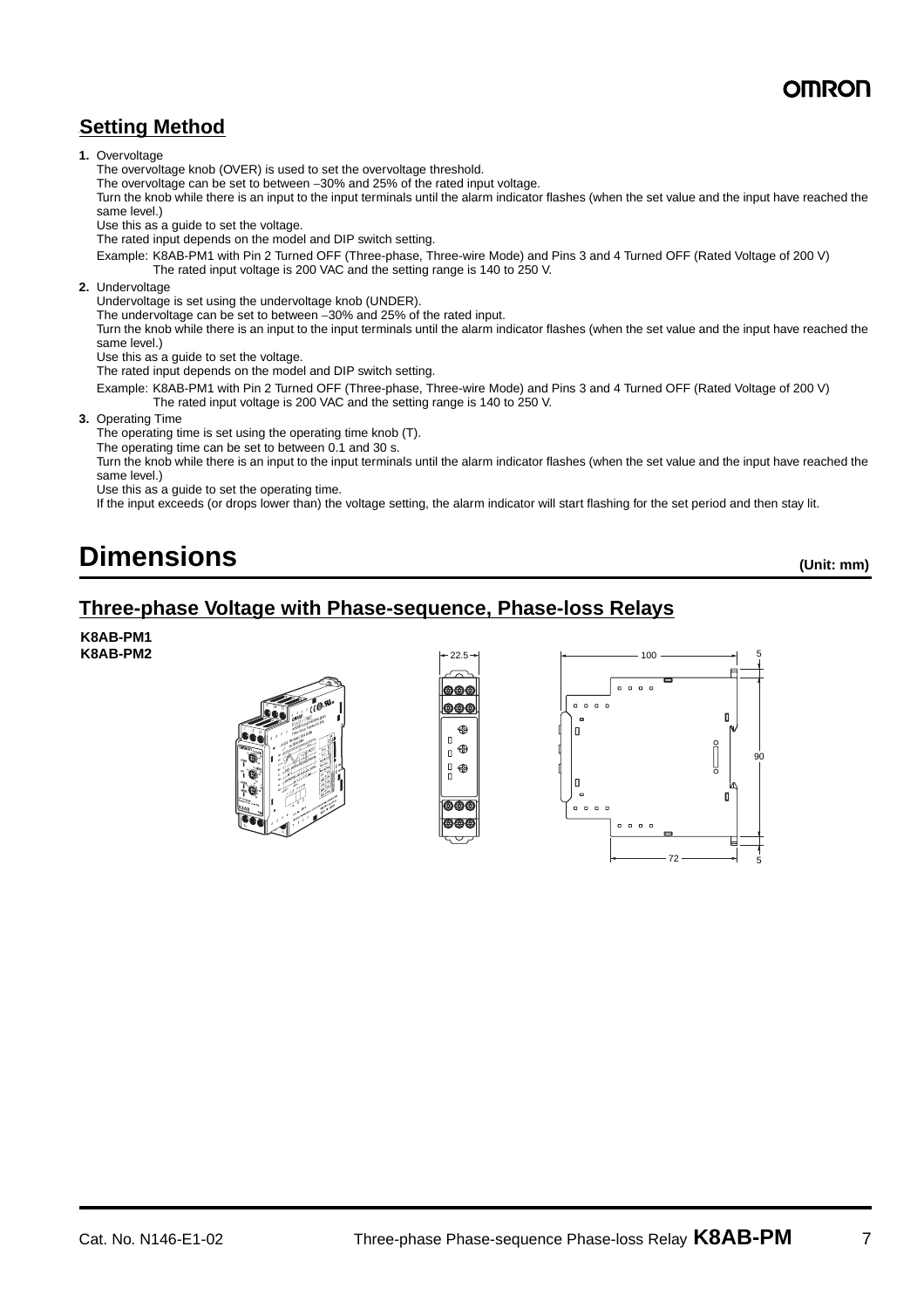## OMDO

### **Setting Method**

#### **1.** Overvoltage

The overvoltage knob (OVER) is used to set the overvoltage threshold.

The overvoltage can be set to between -30% and 25% of the rated input voltage.

Turn the knob while there is an input to the input terminals until the alarm indicator flashes (when the set value and the input have reached the same level.)

Use this as a guide to set the voltage.

The rated input depends on the model and DIP switch setting.

Example: K8AB-PM1 with Pin 2 Turned OFF (Three-phase, Three-wire Mode) and Pins 3 and 4 Turned OFF (Rated Voltage of 200 V) The rated input voltage is 200 VAC and the setting range is 140 to 250 V.

**2.** Undervoltage

Undervoltage is set using the undervoltage knob (UNDER).

The undervoltage can be set to between -30% and 25% of the rated input.

Turn the knob while there is an input to the input terminals until the alarm indicator flashes (when the set value and the input have reached the same level.)

Use this as a guide to set the voltage.

The rated input depends on the model and DIP switch setting.

Example: K8AB-PM1 with Pin 2 Turned OFF (Three-phase, Three-wire Mode) and Pins 3 and 4 Turned OFF (Rated Voltage of 200 V) The rated input voltage is 200 VAC and the setting range is 140 to 250 V.

**3.** Operating Time

The operating time is set using the operating time knob (T).

The operating time can be set to between 0.1 and 30 s.

Turn the knob while there is an input to the input terminals until the alarm indicator flashes (when the set value and the input have reached the same level.)

Use this as a guide to set the operating time.

If the input exceeds (or drops lower than) the voltage setting, the alarm indicator will start flashing for the set period and then stay lit.

## **Dimensions (Unit: mm)**

### **Three-phase Voltage with Phase-sequence, Phase-loss Relays**

### **K8AB-PM1 K8AB-PM2**





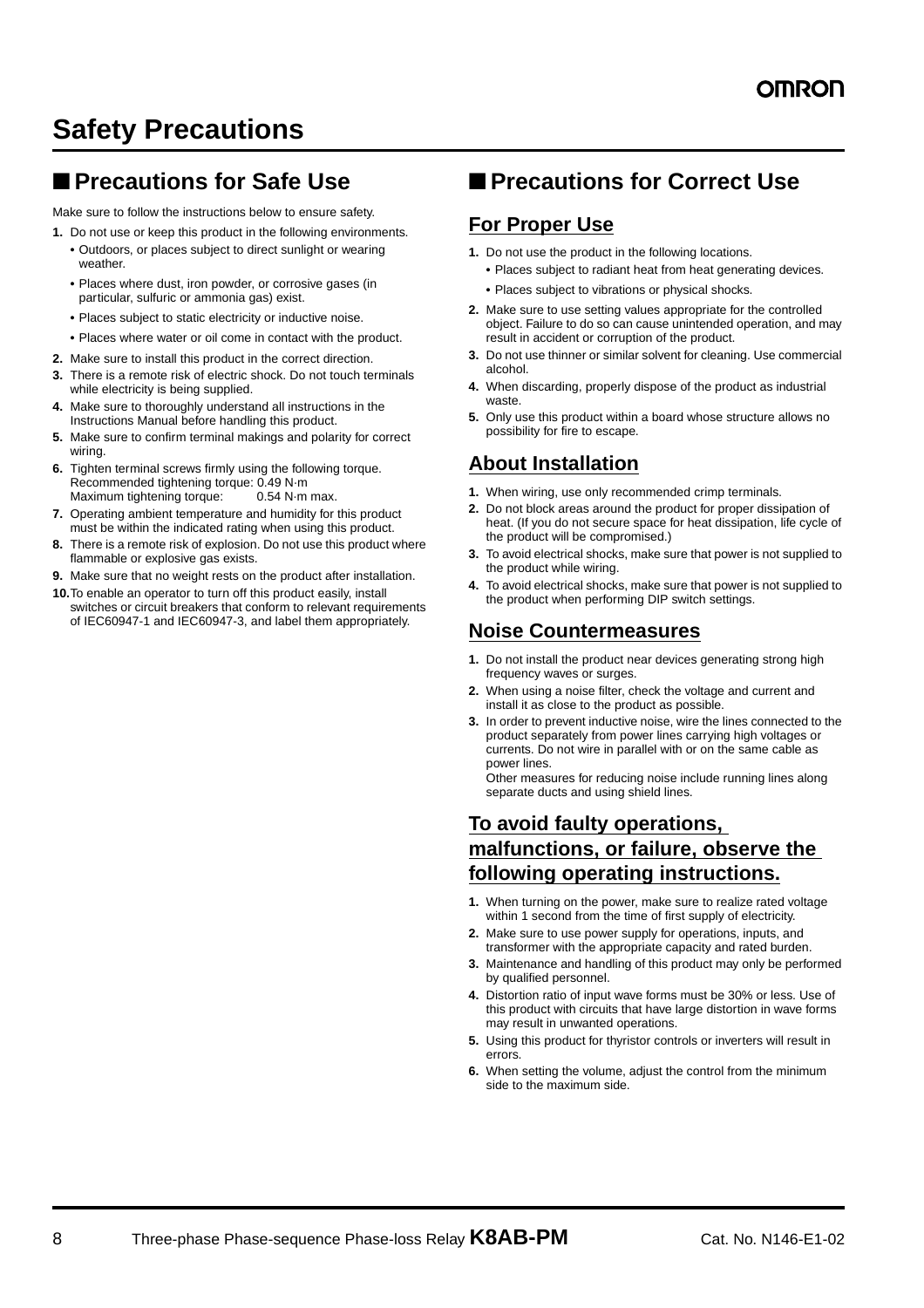## **Safety Precautions**

## ■ **Precautions for Safe Use**

Make sure to follow the instructions below to ensure safety.

- **1.** Do not use or keep this product in the following environments.
	- **•** Outdoors, or places subject to direct sunlight or wearing weather.
	- **•** Places where dust, iron powder, or corrosive gases (in particular, sulfuric or ammonia gas) exist.
	- **•** Places subject to static electricity or inductive noise.
	- **•** Places where water or oil come in contact with the product.
- **2.** Make sure to install this product in the correct direction.
- **3.** There is a remote risk of electric shock. Do not touch terminals while electricity is being supplied.
- **4.** Make sure to thoroughly understand all instructions in the Instructions Manual before handling this product.
- **5.** Make sure to confirm terminal makings and polarity for correct wiring.
- **6.** Tighten terminal screws firmly using the following torque. Recommended tightening torque: 0.49 N·m<br>Maximum tightening torque: 0.54 N·m max. Maximum tightening torque:
- **7.** Operating ambient temperature and humidity for this product must be within the indicated rating when using this product.
- **8.** There is a remote risk of explosion. Do not use this product where flammable or explosive gas exists.
- **9.** Make sure that no weight rests on the product after installation.
- **10.**To enable an operator to turn off this product easily, install switches or circuit breakers that conform to relevant requirements of IEC60947-1 and IEC60947-3, and label them appropriately.

### ■ **Precautions for Correct Use**

### **For Proper Use**

- **1.** Do not use the product in the following locations.
	- **•** Places subject to radiant heat from heat generating devices.
	- **•** Places subject to vibrations or physical shocks.
- **2.** Make sure to use setting values appropriate for the controlled object. Failure to do so can cause unintended operation, and may result in accident or corruption of the product.
- **3.** Do not use thinner or similar solvent for cleaning. Use commercial alcohol.
- **4.** When discarding, properly dispose of the product as industrial waste.
- **5.** Only use this product within a board whose structure allows no possibility for fire to escape.

### **About Installation**

- **1.** When wiring, use only recommended crimp terminals.
- **2.** Do not block areas around the product for proper dissipation of heat. (If you do not secure space for heat dissipation, life cycle of the product will be compromised.)
- **3.** To avoid electrical shocks, make sure that power is not supplied to the product while wiring.
- **4.** To avoid electrical shocks, make sure that power is not supplied to the product when performing DIP switch settings.

### **Noise Countermeasures**

- **1.** Do not install the product near devices generating strong high frequency waves or surges.
- **2.** When using a noise filter, check the voltage and current and install it as close to the product as possible.
- **3.** In order to prevent inductive noise, wire the lines connected to the product separately from power lines carrying high voltages or currents. Do not wire in parallel with or on the same cable as power lines.

Other measures for reducing noise include running lines along separate ducts and using shield lines.

### **To avoid faulty operations, malfunctions, or failure, observe the following operating instructions.**

- **1.** When turning on the power, make sure to realize rated voltage within 1 second from the time of first supply of electricity.
- **2.** Make sure to use power supply for operations, inputs, and transformer with the appropriate capacity and rated burden.
- **3.** Maintenance and handling of this product may only be performed by qualified personnel.
- **4.** Distortion ratio of input wave forms must be 30% or less. Use of this product with circuits that have large distortion in wave forms may result in unwanted operations.
- **5.** Using this product for thyristor controls or inverters will result in errors.
- **6.** When setting the volume, adjust the control from the minimum side to the maximum side.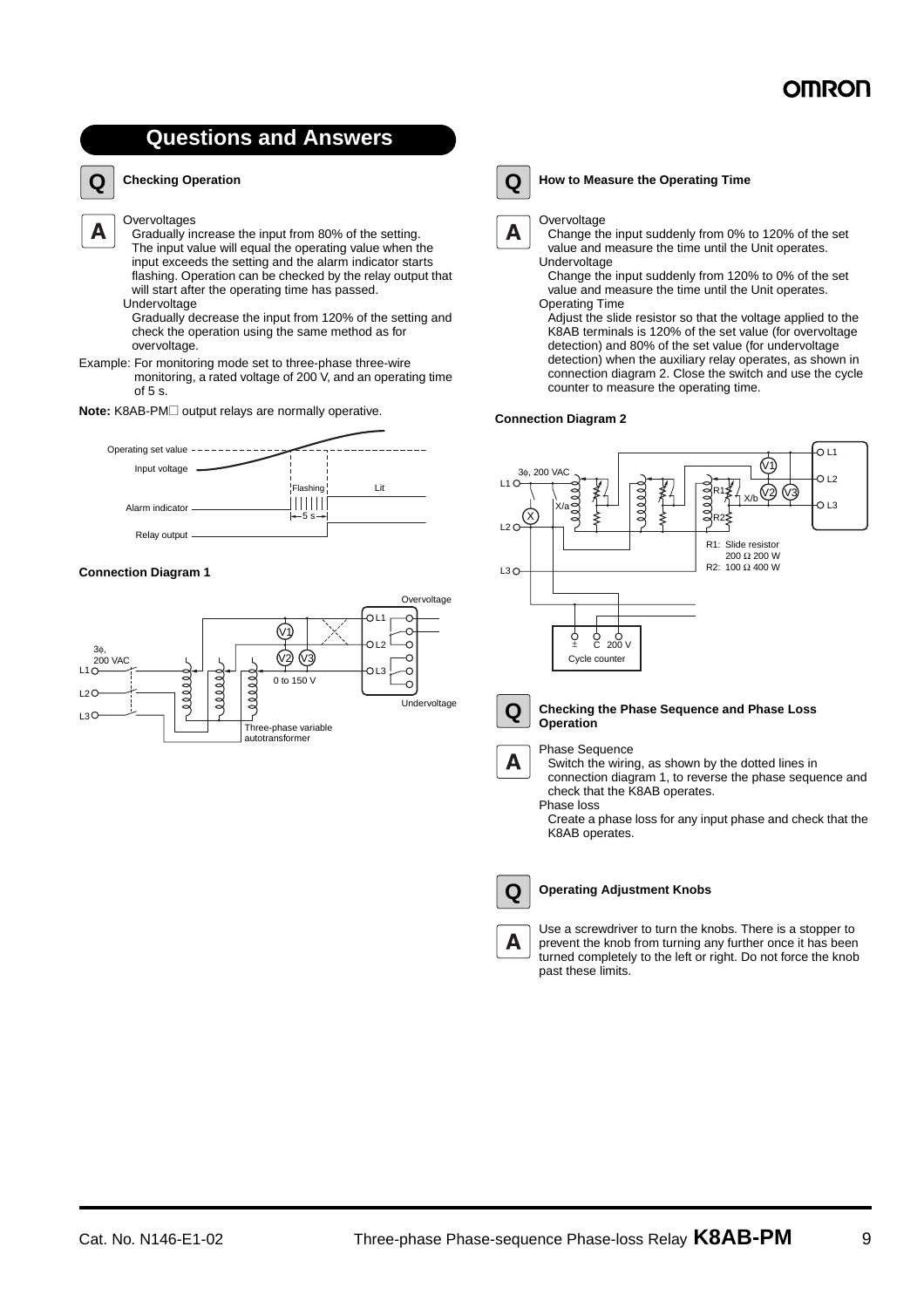### **Questions and Answers**

### **Checking Operation**



**Q**

### **Overvoltages**

Gradually increase the input from 80% of the setting. The input value will equal the operating value when the input exceeds the setting and the alarm indicator starts flashing. Operation can be checked by the relay output that will start after the operating time has passed. Undervoltage

Gradually decrease the input from 120% of the setting and check the operation using the same method as for overvoltage.

Example: For monitoring mode set to three-phase three-wire monitoring, a rated voltage of 200 V, and an operating time of 5 s.

**Note:** K8AB-PM@ output relays are normally operative.



#### **Connection Diagram 1**



**Q**

A

#### **How to Measure the Operating Time**

#### **Overvoltage**

Change the input suddenly from 0% to 120% of the set value and measure the time until the Unit operates. Undervoltage

Change the input suddenly from 120% to 0% of the set value and measure the time until the Unit operates. Operating Time

Adjust the slide resistor so that the voltage applied to the K8AB terminals is 120% of the set value (for overvoltage detection) and 80% of the set value (for undervoltage detection) when the auxiliary relay operates, as shown in connection diagram 2. Close the switch and use the cycle counter to measure the operating time.

#### **Connection Diagram 2**



past these limits.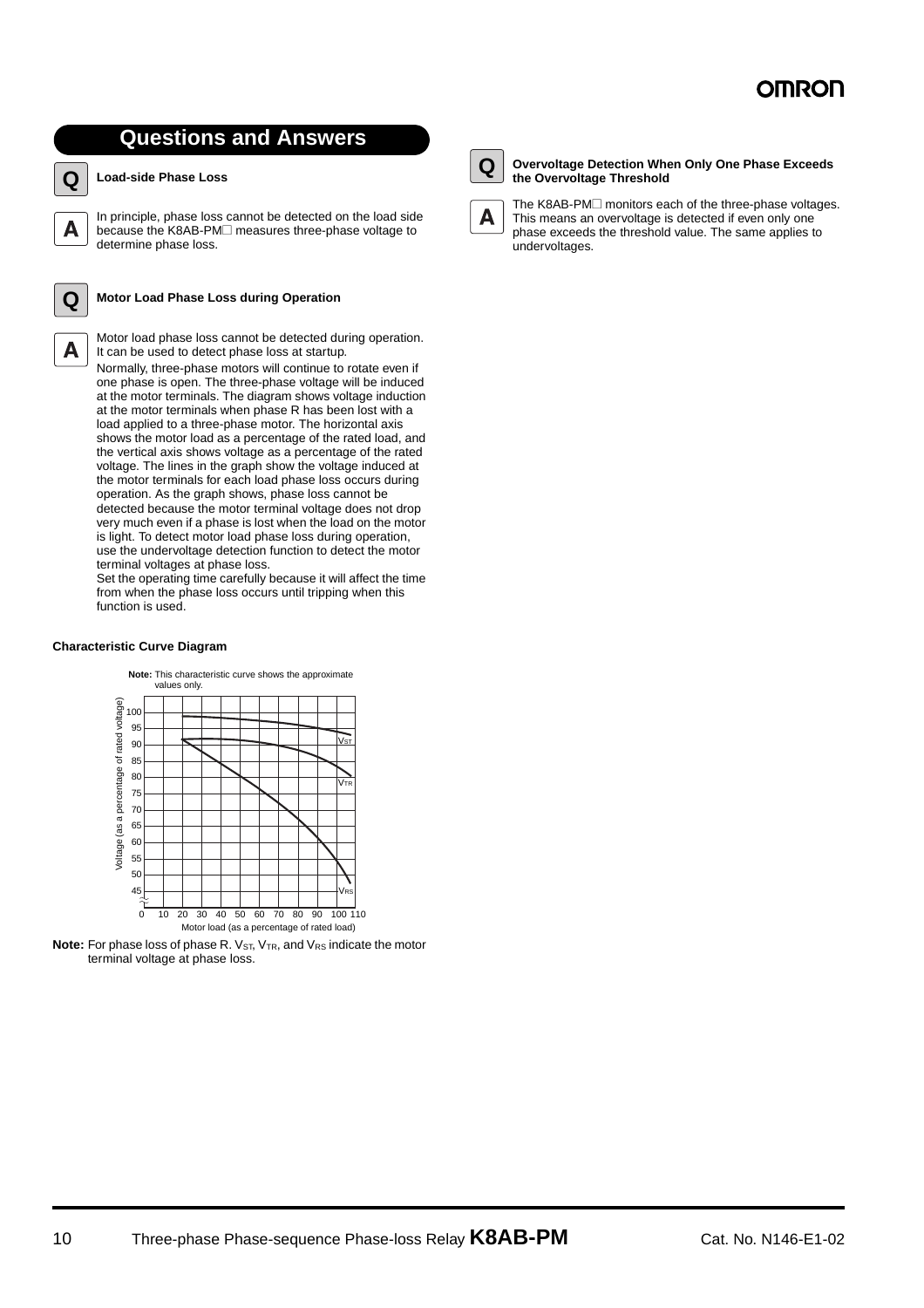## **Questions and Answers**



#### **Load-side Phase Loss**

A

In principle, phase loss cannot be detected on the load side because the K8AB-PM<sup>I</sup> measures three-phase voltage to determine phase loss.



A

#### **Motor Load Phase Loss during Operation**

Motor load phase loss cannot be detected during operation. It can be used to detect phase loss at startup.

Normally, three-phase motors will continue to rotate even if one phase is open. The three-phase voltage will be induced at the motor terminals. The diagram shows voltage induction at the motor terminals when phase R has been lost with a load applied to a three-phase motor. The horizontal axis shows the motor load as a percentage of the rated load, and the vertical axis shows voltage as a percentage of the rated voltage. The lines in the graph show the voltage induced at the motor terminals for each load phase loss occurs during operation. As the graph shows, phase loss cannot be detected because the motor terminal voltage does not drop very much even if a phase is lost when the load on the motor is light. To detect motor load phase loss during operation, use the undervoltage detection function to detect the motor terminal voltages at phase loss.

Set the operating time carefully because it will affect the time from when the phase loss occurs until tripping when this function is used.

#### **Characteristic Curve Diagram**



**Note:** For phase loss of phase R. V<sub>ST</sub>, V<sub>TR</sub>, and V<sub>RS</sub> indicate the motor terminal voltage at phase loss.

A

#### **Overvoltage Detection When Only One Phase Exceeds the Overvoltage Threshold**

The K8AB-PM<sup>I</sup> monitors each of the three-phase voltages. This means an overvoltage is detected if even only one phase exceeds the threshold value. The same applies to undervoltages.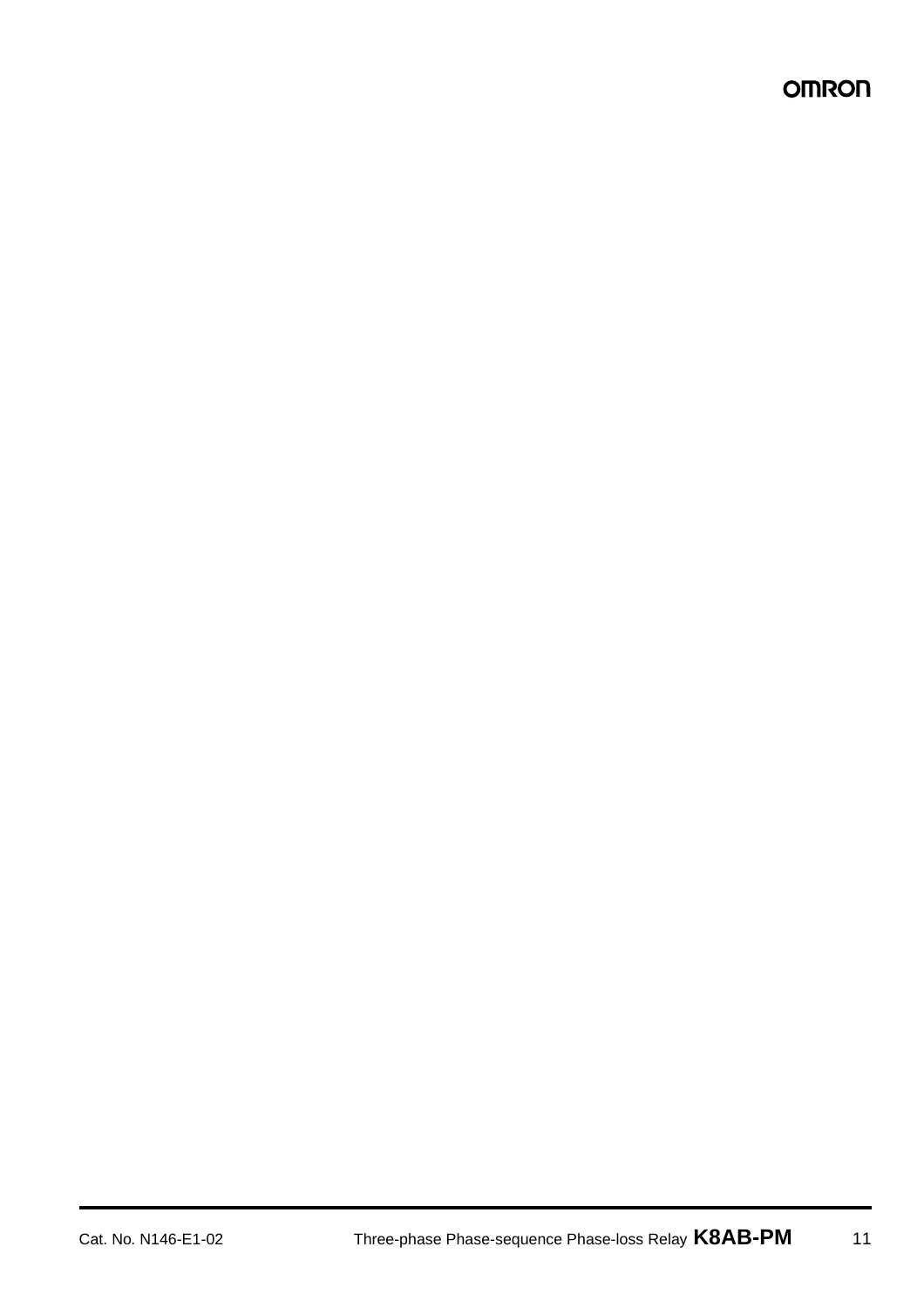### **OMRON**